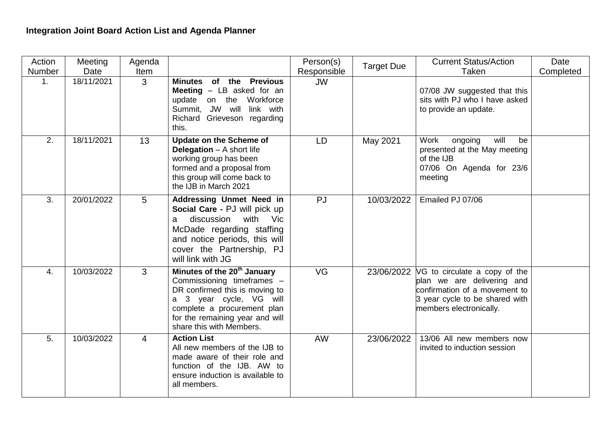## **Integration Joint Board Action List and Agenda Planner**

| Action | Meeting    | Agenda |                                                                                                                                                                                                                                  | Person(s)   | <b>Target Due</b> | <b>Current Status/Action</b>                                                                                                                                           | Date      |
|--------|------------|--------|----------------------------------------------------------------------------------------------------------------------------------------------------------------------------------------------------------------------------------|-------------|-------------------|------------------------------------------------------------------------------------------------------------------------------------------------------------------------|-----------|
| Number | Date       | Item   |                                                                                                                                                                                                                                  | Responsible |                   | Taken                                                                                                                                                                  | Completed |
| 1.     | 18/11/2021 | 3      | of the Previous<br>Minutes<br><b>Meeting</b> $-$ LB asked for an<br>update on the Workforce<br>Summit, JW will<br>link with<br>Richard Grieveson regarding<br>this.                                                              | <b>JW</b>   |                   | 07/08 JW suggested that this<br>sits with PJ who I have asked<br>to provide an update.                                                                                 |           |
| 2.     | 18/11/2021 | 13     | <b>Update on the Scheme of</b><br><b>Delegation</b> $-$ A short life<br>working group has been<br>formed and a proposal from<br>this group will come back to<br>the IJB in March 2021                                            | <b>LD</b>   | May 2021          | Work<br>will<br>ongoing<br>be<br>presented at the May meeting<br>of the IJB<br>07/06 On Agenda for 23/6<br>meeting                                                     |           |
| 3.     | 20/01/2022 | 5      | Addressing Unmet Need in<br>Social Care - PJ will pick up<br>with Vic<br>discussion<br>a<br>McDade regarding staffing<br>and notice periods, this will<br>cover the Partnership, PJ<br>will link with JG                         | <b>PJ</b>   | 10/03/2022        | Emailed PJ 07/06                                                                                                                                                       |           |
| 4.     | 10/03/2022 | 3      | Minutes of the 20 <sup>th</sup> January<br>Commissioning timeframes -<br>DR confirmed this is moving to<br>a 3 year cycle, VG will<br>complete a procurement plan<br>for the remaining year and will<br>share this with Members. | <b>VG</b>   |                   | $23/06/2022$ NG to circulate a copy of the<br>plan we are delivering and<br>confirmation of a movement to<br>3 year cycle to be shared with<br>members electronically. |           |
| 5.     | 10/03/2022 | 4      | <b>Action List</b><br>All new members of the IJB to<br>made aware of their role and<br>function of the IJB. AW to<br>ensure induction is available to<br>all members.                                                            | AW          | 23/06/2022        | 13/06 All new members now<br>invited to induction session                                                                                                              |           |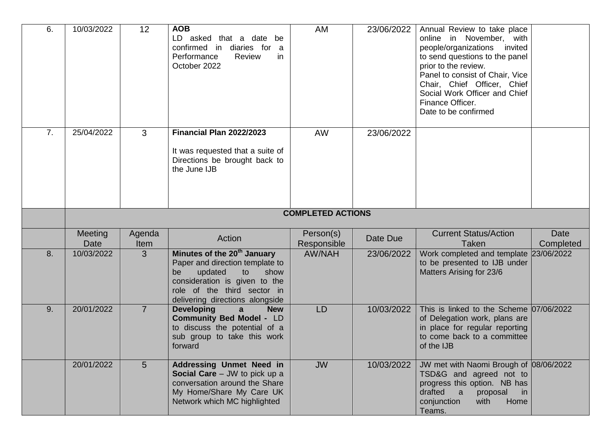| 6. | 10/03/2022               | 12              | <b>AOB</b><br>LD asked that a date be<br>confirmed in diaries for a<br>Performance<br>Review<br>in<br>October 2022                                                                                           | AM                       | 23/06/2022 | Annual Review to take place<br>online in November, with<br>people/organizations<br>invited<br>to send questions to the panel<br>prior to the review.<br>Panel to consist of Chair, Vice<br>Chair, Chief Officer, Chief<br>Social Work Officer and Chief<br>Finance Officer.<br>Date to be confirmed |                   |  |
|----|--------------------------|-----------------|--------------------------------------------------------------------------------------------------------------------------------------------------------------------------------------------------------------|--------------------------|------------|-----------------------------------------------------------------------------------------------------------------------------------------------------------------------------------------------------------------------------------------------------------------------------------------------------|-------------------|--|
| 7. | 25/04/2022               | 3               | Financial Plan 2022/2023<br>It was requested that a suite of<br>Directions be brought back to<br>the June IJB                                                                                                | <b>AW</b>                | 23/06/2022 |                                                                                                                                                                                                                                                                                                     |                   |  |
|    | <b>COMPLETED ACTIONS</b> |                 |                                                                                                                                                                                                              |                          |            |                                                                                                                                                                                                                                                                                                     |                   |  |
|    | <b>Meeting</b><br>Date   | Agenda<br>Item  | Action                                                                                                                                                                                                       | Person(s)<br>Responsible | Date Due   | <b>Current Status/Action</b><br><b>Taken</b>                                                                                                                                                                                                                                                        | Date<br>Completed |  |
| 8. | 10/03/2022               | 3               | Minutes of the 20 <sup>th</sup> January<br>Paper and direction template to<br>updated<br>show<br>to<br>be<br>consideration is given to the<br>role of the third sector in<br>delivering directions alongside | <b>AW/NAH</b>            | 23/06/2022 | Work completed and template<br>to be presented to IJB under<br>Matters Arising for 23/6                                                                                                                                                                                                             | 23/06/2022        |  |
| 9. | 20/01/2022               | $\overline{7}$  | <b>Developing</b><br>$\mathbf{a}$<br><b>New</b><br><b>Community Bed Model - LD</b><br>to discuss the potential of a<br>sub group to take this work<br>forward                                                | <b>LD</b>                | 10/03/2022 | This is linked to the Scheme 07/06/2022<br>of Delegation work, plans are<br>in place for regular reporting<br>to come back to a committee<br>of the IJB                                                                                                                                             |                   |  |
|    | 20/01/2022               | $5\overline{)}$ | <b>Addressing Unmet Need in</b><br>Social Care - JW to pick up a<br>conversation around the Share<br>My Home/Share My Care UK<br>Network which MC highlighted                                                | <b>JW</b>                | 10/03/2022 | JW met with Naomi Brough of 08/06/2022<br>TSD&G and agreed not to<br>progress this option. NB has<br>drafted<br>a<br>proposal<br>in<br>Home<br>conjunction<br>with<br>Teams.                                                                                                                        |                   |  |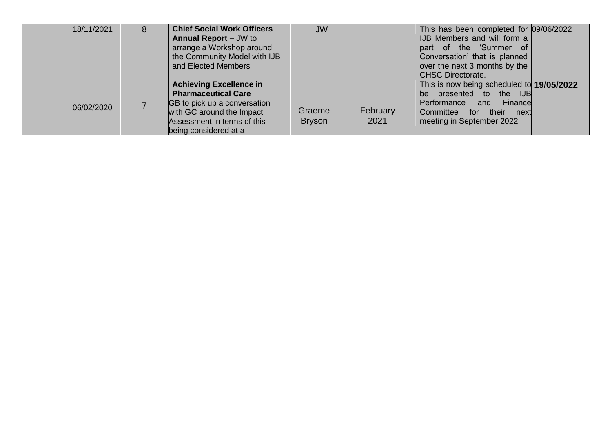| 18/11/2021 | 8 | <b>Chief Social Work Officers</b><br><b>Annual Report</b> – JW to<br>arrange a Workshop around<br>the Community Model with IJB<br>and Elected Members                             | <b>JW</b>               |                  | This has been completed for 09/06/2022<br>IJB Members and will form a<br>part of the 'Summer of<br>Conversation' that is planned<br>over the next 3 months by the<br><b>CHSC Directorate.</b> |  |
|------------|---|-----------------------------------------------------------------------------------------------------------------------------------------------------------------------------------|-------------------------|------------------|-----------------------------------------------------------------------------------------------------------------------------------------------------------------------------------------------|--|
| 06/02/2020 |   | <b>Achieving Excellence in</b><br><b>Pharmaceutical Care</b><br>GB to pick up a conversation<br>with GC around the Impact<br>Assessment in terms of this<br>being considered at a | Graeme<br><b>Bryson</b> | February<br>2021 | This is now being scheduled to 19/05/2022<br>presented to the IJB<br>be<br>Performance and<br>Finance<br>Committee for their<br>next<br>meeting in September 2022                             |  |